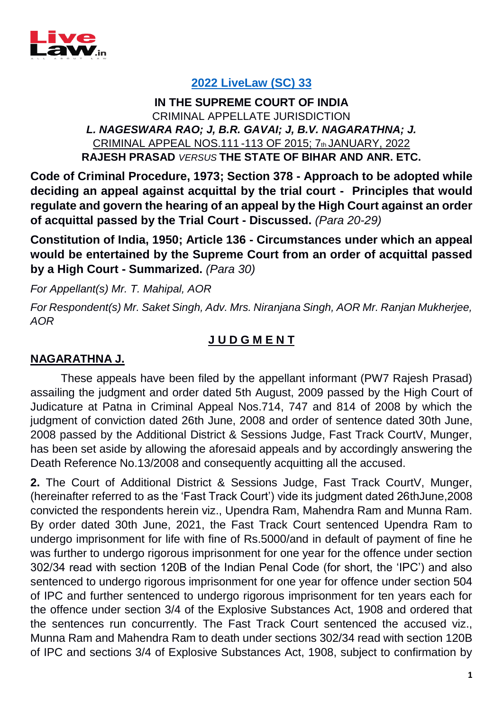

## **[2022 LiveLaw \(SC\) 33](https://www.livelaw.in/know-the-law/supreme-court-appeal-order-acquittal-entertained-circumstances-189211)**

## **IN THE SUPREME COURT OF INDIA** CRIMINAL APPELLATE JURISDICTION *L. NAGESWARA RAO; J, B.R. GAVAI; J, B.V. NAGARATHNA; J.* CRIMINAL APPEAL NOS.111 -113 OF 2015; 7th JANUARY, 2022 **RAJESH PRASAD** *VERSUS* **THE STATE OF BIHAR AND ANR. ETC.**

**Code of Criminal Procedure, 1973; Section 378 - Approach to be adopted while deciding an appeal against acquittal by the trial court - Principles that would regulate and govern the hearing of an appeal by the High Court against an order of acquittal passed by the Trial Court - Discussed.** *(Para 20-29)*

**Constitution of India, 1950; Article 136 - Circumstances under which an appeal would be entertained by the Supreme Court from an order of acquittal passed by a High Court - Summarized.** *(Para 30)*

*For Appellant(s) Mr. T. Mahipal, AOR*

*For Respondent(s) Mr. Saket Singh, Adv. Mrs. Niranjana Singh, AOR Mr. Ranjan Mukherjee, AOR*

## **J U D G M E N T**

## **NAGARATHNA J.**

These appeals have been filed by the appellant informant (PW7 Rajesh Prasad) assailing the judgment and order dated 5th August, 2009 passed by the High Court of Judicature at Patna in Criminal Appeal Nos.714, 747 and 814 of 2008 by which the judgment of conviction dated 26th June, 2008 and order of sentence dated 30th June, 2008 passed by the Additional District & Sessions Judge, Fast Track CourtV, Munger, has been set aside by allowing the aforesaid appeals and by accordingly answering the Death Reference No.13/2008 and consequently acquitting all the accused.

**2.** The Court of Additional District & Sessions Judge, Fast Track CourtV, Munger, (hereinafter referred to as the 'Fast Track Court') vide its judgment dated 26thJune,2008 convicted the respondents herein viz., Upendra Ram, Mahendra Ram and Munna Ram. By order dated 30th June, 2021, the Fast Track Court sentenced Upendra Ram to undergo imprisonment for life with fine of Rs.5000/and in default of payment of fine he was further to undergo rigorous imprisonment for one year for the offence under section 302/34 read with section 120B of the Indian Penal Code (for short, the 'IPC') and also sentenced to undergo rigorous imprisonment for one year for offence under section 504 of IPC and further sentenced to undergo rigorous imprisonment for ten years each for the offence under section 3/4 of the Explosive Substances Act, 1908 and ordered that the sentences run concurrently. The Fast Track Court sentenced the accused viz., Munna Ram and Mahendra Ram to death under sections 302/34 read with section 120B of IPC and sections 3/4 of Explosive Substances Act, 1908, subject to confirmation by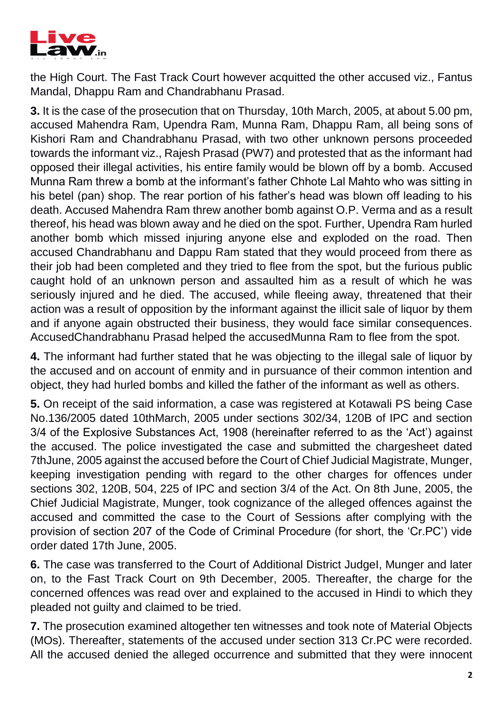

the High Court. The Fast Track Court however acquitted the other accused viz., Fantus Mandal, Dhappu Ram and Chandrabhanu Prasad.

**3.** It is the case of the prosecution that on Thursday, 10th March, 2005, at about 5.00 pm, accused Mahendra Ram, Upendra Ram, Munna Ram, Dhappu Ram, all being sons of Kishori Ram and Chandrabhanu Prasad, with two other unknown persons proceeded towards the informant viz., Rajesh Prasad (PW7) and protested that as the informant had opposed their illegal activities, his entire family would be blown off by a bomb. Accused Munna Ram threw a bomb at the informant's father Chhote Lal Mahto who was sitting in his betel (pan) shop. The rear portion of his father's head was blown off leading to his death. Accused Mahendra Ram threw another bomb against O.P. Verma and as a result thereof, his head was blown away and he died on the spot. Further, Upendra Ram hurled another bomb which missed injuring anyone else and exploded on the road. Then accused Chandrabhanu and Dappu Ram stated that they would proceed from there as their job had been completed and they tried to flee from the spot, but the furious public caught hold of an unknown person and assaulted him as a result of which he was seriously injured and he died. The accused, while fleeing away, threatened that their action was a result of opposition by the informant against the illicit sale of liquor by them and if anyone again obstructed their business, they would face similar consequences. AccusedChandrabhanu Prasad helped the accusedMunna Ram to flee from the spot.

**4.** The informant had further stated that he was objecting to the illegal sale of liquor by the accused and on account of enmity and in pursuance of their common intention and object, they had hurled bombs and killed the father of the informant as well as others.

**5.** On receipt of the said information, a case was registered at Kotawali PS being Case No.136/2005 dated 10thMarch, 2005 under sections 302/34, 120B of IPC and section 3/4 of the Explosive Substances Act, 1908 (hereinafter referred to as the 'Act') against the accused. The police investigated the case and submitted the chargesheet dated 7thJune, 2005 against the accused before the Court of Chief Judicial Magistrate, Munger, keeping investigation pending with regard to the other charges for offences under sections 302, 120B, 504, 225 of IPC and section 3/4 of the Act. On 8th June, 2005, the Chief Judicial Magistrate, Munger, took cognizance of the alleged offences against the accused and committed the case to the Court of Sessions after complying with the provision of section 207 of the Code of Criminal Procedure (for short, the 'Cr.PC') vide order dated 17th June, 2005.

**6.** The case was transferred to the Court of Additional District JudgeI, Munger and later on, to the Fast Track Court on 9th December, 2005. Thereafter, the charge for the concerned offences was read over and explained to the accused in Hindi to which they pleaded not guilty and claimed to be tried.

**7.** The prosecution examined altogether ten witnesses and took note of Material Objects (MOs). Thereafter, statements of the accused under section 313 Cr.PC were recorded. All the accused denied the alleged occurrence and submitted that they were innocent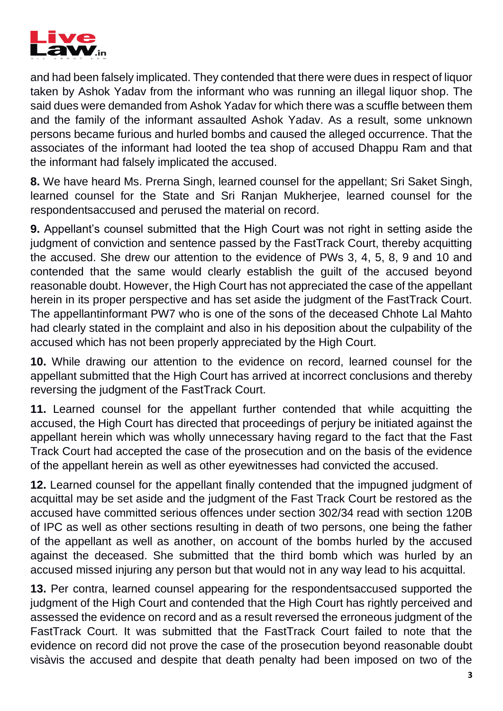

and had been falsely implicated. They contended that there were dues in respect of liquor taken by Ashok Yadav from the informant who was running an illegal liquor shop. The said dues were demanded from Ashok Yadav for which there was a scuffle between them and the family of the informant assaulted Ashok Yadav. As a result, some unknown persons became furious and hurled bombs and caused the alleged occurrence. That the associates of the informant had looted the tea shop of accused Dhappu Ram and that the informant had falsely implicated the accused.

**8.** We have heard Ms. Prerna Singh, learned counsel for the appellant; Sri Saket Singh, learned counsel for the State and Sri Ranjan Mukherjee, learned counsel for the respondentsaccused and perused the material on record.

**9.** Appellant's counsel submitted that the High Court was not right in setting aside the judgment of conviction and sentence passed by the FastTrack Court, thereby acquitting the accused. She drew our attention to the evidence of PWs 3, 4, 5, 8, 9 and 10 and contended that the same would clearly establish the guilt of the accused beyond reasonable doubt. However, the High Court has not appreciated the case of the appellant herein in its proper perspective and has set aside the judgment of the FastTrack Court. The appellantinformant PW7 who is one of the sons of the deceased Chhote Lal Mahto had clearly stated in the complaint and also in his deposition about the culpability of the accused which has not been properly appreciated by the High Court.

**10.** While drawing our attention to the evidence on record, learned counsel for the appellant submitted that the High Court has arrived at incorrect conclusions and thereby reversing the judgment of the FastTrack Court.

**11.** Learned counsel for the appellant further contended that while acquitting the accused, the High Court has directed that proceedings of perjury be initiated against the appellant herein which was wholly unnecessary having regard to the fact that the Fast Track Court had accepted the case of the prosecution and on the basis of the evidence of the appellant herein as well as other eyewitnesses had convicted the accused.

**12.** Learned counsel for the appellant finally contended that the impugned judgment of acquittal may be set aside and the judgment of the Fast Track Court be restored as the accused have committed serious offences under section 302/34 read with section 120B of IPC as well as other sections resulting in death of two persons, one being the father of the appellant as well as another, on account of the bombs hurled by the accused against the deceased. She submitted that the third bomb which was hurled by an accused missed injuring any person but that would not in any way lead to his acquittal.

**13.** Per contra, learned counsel appearing for the respondentsaccused supported the judgment of the High Court and contended that the High Court has rightly perceived and assessed the evidence on record and as a result reversed the erroneous judgment of the FastTrack Court. It was submitted that the FastTrack Court failed to note that the evidence on record did not prove the case of the prosecution beyond reasonable doubt visàvis the accused and despite that death penalty had been imposed on two of the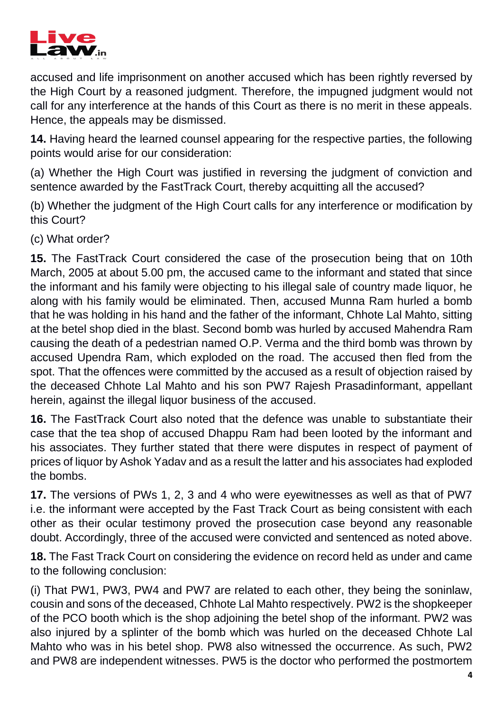

accused and life imprisonment on another accused which has been rightly reversed by the High Court by a reasoned judgment. Therefore, the impugned judgment would not call for any interference at the hands of this Court as there is no merit in these appeals. Hence, the appeals may be dismissed.

**14.** Having heard the learned counsel appearing for the respective parties, the following points would arise for our consideration:

(a) Whether the High Court was justified in reversing the judgment of conviction and sentence awarded by the FastTrack Court, thereby acquitting all the accused?

(b) Whether the judgment of the High Court calls for any interference or modification by this Court?

(c) What order?

**15.** The FastTrack Court considered the case of the prosecution being that on 10th March, 2005 at about 5.00 pm, the accused came to the informant and stated that since the informant and his family were objecting to his illegal sale of country made liquor, he along with his family would be eliminated. Then, accused Munna Ram hurled a bomb that he was holding in his hand and the father of the informant, Chhote Lal Mahto, sitting at the betel shop died in the blast. Second bomb was hurled by accused Mahendra Ram causing the death of a pedestrian named O.P. Verma and the third bomb was thrown by accused Upendra Ram, which exploded on the road. The accused then fled from the spot. That the offences were committed by the accused as a result of objection raised by the deceased Chhote Lal Mahto and his son PW7 Rajesh Prasadinformant, appellant herein, against the illegal liquor business of the accused.

**16.** The FastTrack Court also noted that the defence was unable to substantiate their case that the tea shop of accused Dhappu Ram had been looted by the informant and his associates. They further stated that there were disputes in respect of payment of prices of liquor by Ashok Yadav and as a result the latter and his associates had exploded the bombs.

**17.** The versions of PWs 1, 2, 3 and 4 who were eyewitnesses as well as that of PW7 i.e. the informant were accepted by the Fast Track Court as being consistent with each other as their ocular testimony proved the prosecution case beyond any reasonable doubt. Accordingly, three of the accused were convicted and sentenced as noted above.

**18.** The Fast Track Court on considering the evidence on record held as under and came to the following conclusion:

(i) That PW1, PW3, PW4 and PW7 are related to each other, they being the soninlaw, cousin and sons of the deceased, Chhote Lal Mahto respectively. PW2 is the shopkeeper of the PCO booth which is the shop adjoining the betel shop of the informant. PW2 was also injured by a splinter of the bomb which was hurled on the deceased Chhote Lal Mahto who was in his betel shop. PW8 also witnessed the occurrence. As such, PW2 and PW8 are independent witnesses. PW5 is the doctor who performed the postmortem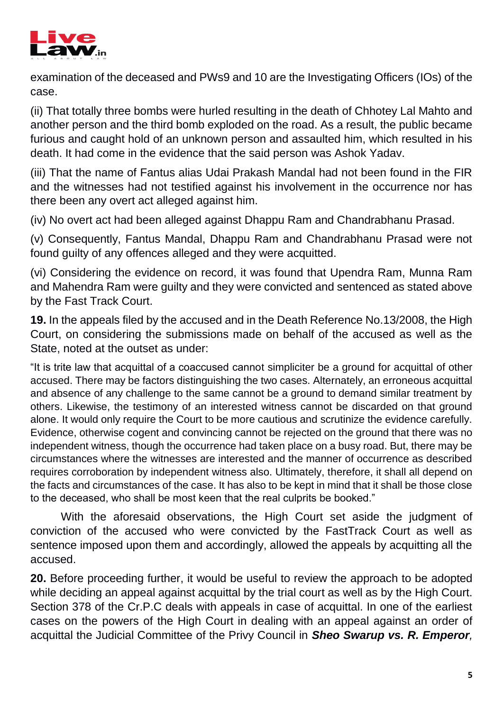

examination of the deceased and PWs9 and 10 are the Investigating Officers (IOs) of the case.

(ii) That totally three bombs were hurled resulting in the death of Chhotey Lal Mahto and another person and the third bomb exploded on the road. As a result, the public became furious and caught hold of an unknown person and assaulted him, which resulted in his death. It had come in the evidence that the said person was Ashok Yadav.

(iii) That the name of Fantus alias Udai Prakash Mandal had not been found in the FIR and the witnesses had not testified against his involvement in the occurrence nor has there been any overt act alleged against him.

(iv) No overt act had been alleged against Dhappu Ram and Chandrabhanu Prasad.

(v) Consequently, Fantus Mandal, Dhappu Ram and Chandrabhanu Prasad were not found guilty of any offences alleged and they were acquitted.

(vi) Considering the evidence on record, it was found that Upendra Ram, Munna Ram and Mahendra Ram were guilty and they were convicted and sentenced as stated above by the Fast Track Court.

**19.** In the appeals filed by the accused and in the Death Reference No.13/2008, the High Court, on considering the submissions made on behalf of the accused as well as the State, noted at the outset as under:

"It is trite law that acquittal of a coaccused cannot simpliciter be a ground for acquittal of other accused. There may be factors distinguishing the two cases. Alternately, an erroneous acquittal and absence of any challenge to the same cannot be a ground to demand similar treatment by others. Likewise, the testimony of an interested witness cannot be discarded on that ground alone. It would only require the Court to be more cautious and scrutinize the evidence carefully. Evidence, otherwise cogent and convincing cannot be rejected on the ground that there was no independent witness, though the occurrence had taken place on a busy road. But, there may be circumstances where the witnesses are interested and the manner of occurrence as described requires corroboration by independent witness also. Ultimately, therefore, it shall all depend on the facts and circumstances of the case. It has also to be kept in mind that it shall be those close to the deceased, who shall be most keen that the real culprits be booked."

With the aforesaid observations, the High Court set aside the judgment of conviction of the accused who were convicted by the FastTrack Court as well as sentence imposed upon them and accordingly, allowed the appeals by acquitting all the accused.

**20.** Before proceeding further, it would be useful to review the approach to be adopted while deciding an appeal against acquittal by the trial court as well as by the High Court. Section 378 of the Cr.P.C deals with appeals in case of acquittal. In one of the earliest cases on the powers of the High Court in dealing with an appeal against an order of acquittal the Judicial Committee of the Privy Council in *Sheo Swarup vs. R. Emperor,*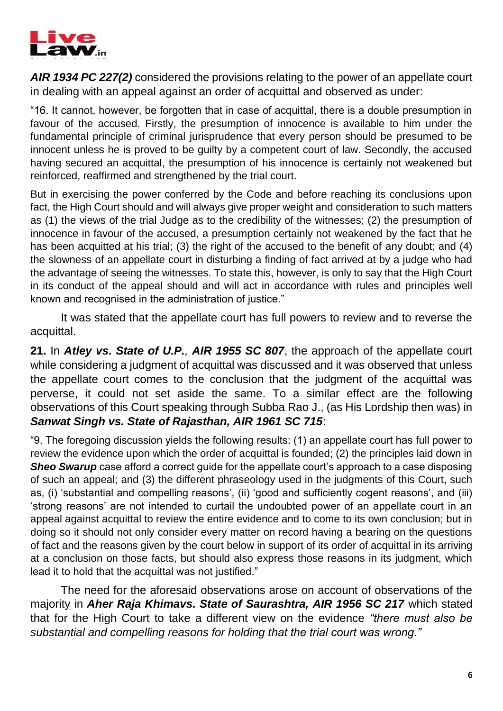

*AIR 1934 PC 227(2)* considered the provisions relating to the power of an appellate court in dealing with an appeal against an order of acquittal and observed as under:

"16. It cannot, however, be forgotten that in case of acquittal, there is a double presumption in favour of the accused. Firstly, the presumption of innocence is available to him under the fundamental principle of criminal jurisprudence that every person should be presumed to be innocent unless he is proved to be guilty by a competent court of law. Secondly, the accused having secured an acquittal, the presumption of his innocence is certainly not weakened but reinforced, reaffirmed and strengthened by the trial court.

But in exercising the power conferred by the Code and before reaching its conclusions upon fact, the High Court should and will always give proper weight and consideration to such matters as (1) the views of the trial Judge as to the credibility of the witnesses; (2) the presumption of innocence in favour of the accused, a presumption certainly not weakened by the fact that he has been acquitted at his trial; (3) the right of the accused to the benefit of any doubt; and (4) the slowness of an appellate court in disturbing a finding of fact arrived at by a judge who had the advantage of seeing the witnesses. To state this, however, is only to say that the High Court in its conduct of the appeal should and will act in accordance with rules and principles well known and recognised in the administration of justice."

It was stated that the appellate court has full powers to review and to reverse the acquittal.

**21.** In *Atley vs. State of U.P., AIR 1955 SC 807*, the approach of the appellate court while considering a judgment of acquittal was discussed and it was observed that unless the appellate court comes to the conclusion that the judgment of the acquittal was perverse, it could not set aside the same. To a similar effect are the following observations of this Court speaking through Subba Rao J., (as His Lordship then was) in *Sanwat Singh vs. State of Rajasthan, AIR 1961 SC 715*:

"9. The foregoing discussion yields the following results: (1) an appellate court has full power to review the evidence upon which the order of acquittal is founded; (2) the principles laid down in **Sheo Swarup** case afford a correct quide for the appellate court's approach to a case disposing of such an appeal; and (3) the different phraseology used in the judgments of this Court, such as, (i) 'substantial and compelling reasons', (ii) 'good and sufficiently cogent reasons', and (iii) 'strong reasons' are not intended to curtail the undoubted power of an appellate court in an appeal against acquittal to review the entire evidence and to come to its own conclusion; but in doing so it should not only consider every matter on record having a bearing on the questions of fact and the reasons given by the court below in support of its order of acquittal in its arriving at a conclusion on those facts, but should also express those reasons in its judgment, which lead it to hold that the acquittal was not justified."

The need for the aforesaid observations arose on account of observations of the majority in *Aher Raja Khimavs. State of Saurashtra, AIR 1956 SC 217* which stated that for the High Court to take a different view on the evidence *"there must also be substantial and compelling reasons for holding that the trial court was wrong."*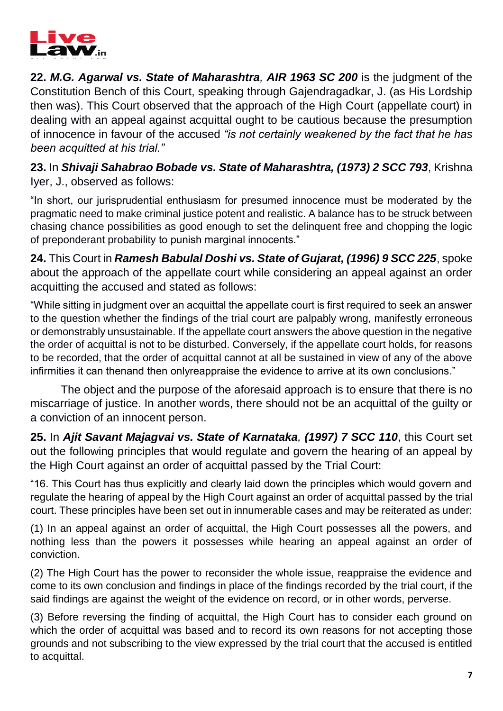

**22.** *M.G. Agarwal vs. State of Maharashtra, AIR 1963 SC 200* is the judgment of the Constitution Bench of this Court, speaking through Gajendragadkar, J. (as His Lordship then was). This Court observed that the approach of the High Court (appellate court) in dealing with an appeal against acquittal ought to be cautious because the presumption of innocence in favour of the accused *"is not certainly weakened by the fact that he has been acquitted at his trial."*

**23.** In *Shivaji Sahabrao Bobade vs. State of Maharashtra, (1973) 2 SCC 793*, Krishna Iyer, J., observed as follows:

"In short, our jurisprudential enthusiasm for presumed innocence must be moderated by the pragmatic need to make criminal justice potent and realistic. A balance has to be struck between chasing chance possibilities as good enough to set the delinquent free and chopping the logic of preponderant probability to punish marginal innocents."

**24.** This Court in *Ramesh Babulal Doshi vs. State of Gujarat, (1996) 9 SCC 225*, spoke about the approach of the appellate court while considering an appeal against an order acquitting the accused and stated as follows:

"While sitting in judgment over an acquittal the appellate court is first required to seek an answer to the question whether the findings of the trial court are palpably wrong, manifestly erroneous or demonstrably unsustainable. If the appellate court answers the above question in the negative the order of acquittal is not to be disturbed. Conversely, if the appellate court holds, for reasons to be recorded, that the order of acquittal cannot at all be sustained in view of any of the above infirmities it can thenand then onlyreappraise the evidence to arrive at its own conclusions."

The object and the purpose of the aforesaid approach is to ensure that there is no miscarriage of justice. In another words, there should not be an acquittal of the guilty or a conviction of an innocent person.

**25.** In *Ajit Savant Majagvai vs. State of Karnataka, (1997) 7 SCC 110*, this Court set out the following principles that would regulate and govern the hearing of an appeal by the High Court against an order of acquittal passed by the Trial Court:

"16. This Court has thus explicitly and clearly laid down the principles which would govern and regulate the hearing of appeal by the High Court against an order of acquittal passed by the trial court. These principles have been set out in innumerable cases and may be reiterated as under:

(1) In an appeal against an order of acquittal, the High Court possesses all the powers, and nothing less than the powers it possesses while hearing an appeal against an order of conviction.

(2) The High Court has the power to reconsider the whole issue, reappraise the evidence and come to its own conclusion and findings in place of the findings recorded by the trial court, if the said findings are against the weight of the evidence on record, or in other words, perverse.

(3) Before reversing the finding of acquittal, the High Court has to consider each ground on which the order of acquittal was based and to record its own reasons for not accepting those grounds and not subscribing to the view expressed by the trial court that the accused is entitled to acquittal.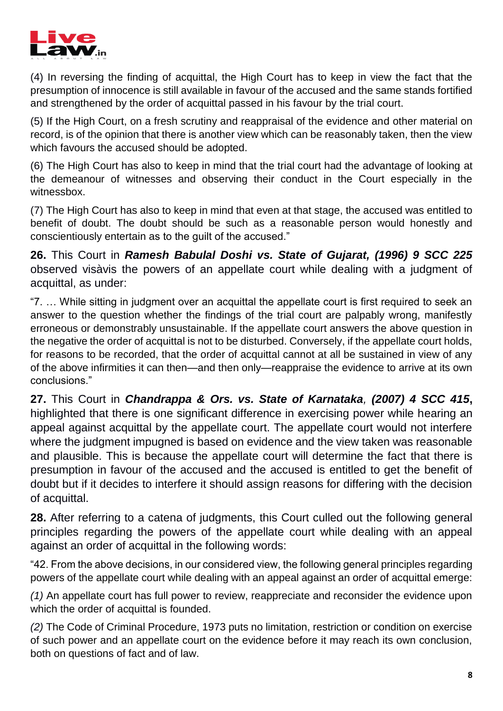

(4) In reversing the finding of acquittal, the High Court has to keep in view the fact that the presumption of innocence is still available in favour of the accused and the same stands fortified and strengthened by the order of acquittal passed in his favour by the trial court.

(5) If the High Court, on a fresh scrutiny and reappraisal of the evidence and other material on record, is of the opinion that there is another view which can be reasonably taken, then the view which favours the accused should be adopted.

(6) The High Court has also to keep in mind that the trial court had the advantage of looking at the demeanour of witnesses and observing their conduct in the Court especially in the witnessbox.

(7) The High Court has also to keep in mind that even at that stage, the accused was entitled to benefit of doubt. The doubt should be such as a reasonable person would honestly and conscientiously entertain as to the guilt of the accused."

**26.** This Court in *Ramesh Babulal Doshi vs. State of Gujarat, (1996) 9 SCC 225*  observed visàvis the powers of an appellate court while dealing with a judgment of acquittal, as under:

"7. … While sitting in judgment over an acquittal the appellate court is first required to seek an answer to the question whether the findings of the trial court are palpably wrong, manifestly erroneous or demonstrably unsustainable. If the appellate court answers the above question in the negative the order of acquittal is not to be disturbed. Conversely, if the appellate court holds, for reasons to be recorded, that the order of acquittal cannot at all be sustained in view of any of the above infirmities it can then—and then only—reappraise the evidence to arrive at its own conclusions."

**27.** This Court in *Chandrappa & Ors. vs. State of Karnataka, (2007) 4 SCC 415***,**  highlighted that there is one significant difference in exercising power while hearing an appeal against acquittal by the appellate court. The appellate court would not interfere where the judgment impugned is based on evidence and the view taken was reasonable and plausible. This is because the appellate court will determine the fact that there is presumption in favour of the accused and the accused is entitled to get the benefit of doubt but if it decides to interfere it should assign reasons for differing with the decision of acquittal.

**28.** After referring to a catena of judgments, this Court culled out the following general principles regarding the powers of the appellate court while dealing with an appeal against an order of acquittal in the following words:

"42. From the above decisions, in our considered view, the following general principles regarding powers of the appellate court while dealing with an appeal against an order of acquittal emerge:

*(1)* An appellate court has full power to review, reappreciate and reconsider the evidence upon which the order of acquittal is founded.

*(2)* The Code of Criminal Procedure, 1973 puts no limitation, restriction or condition on exercise of such power and an appellate court on the evidence before it may reach its own conclusion, both on questions of fact and of law.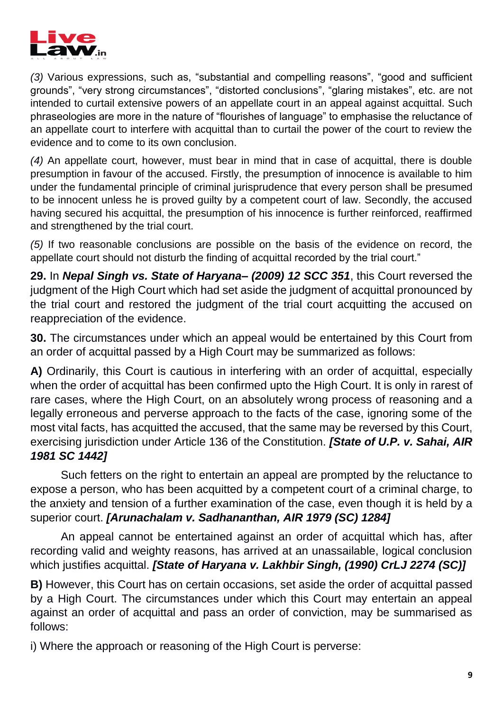

*(3)* Various expressions, such as, "substantial and compelling reasons", "good and sufficient grounds", "very strong circumstances", "distorted conclusions", "glaring mistakes", etc. are not intended to curtail extensive powers of an appellate court in an appeal against acquittal. Such phraseologies are more in the nature of "flourishes of language" to emphasise the reluctance of an appellate court to interfere with acquittal than to curtail the power of the court to review the evidence and to come to its own conclusion.

*(4)* An appellate court, however, must bear in mind that in case of acquittal, there is double presumption in favour of the accused. Firstly, the presumption of innocence is available to him under the fundamental principle of criminal jurisprudence that every person shall be presumed to be innocent unless he is proved guilty by a competent court of law. Secondly, the accused having secured his acquittal, the presumption of his innocence is further reinforced, reaffirmed and strengthened by the trial court.

*(5)* If two reasonable conclusions are possible on the basis of the evidence on record, the appellate court should not disturb the finding of acquittal recorded by the trial court."

**29.** In *Nepal Singh vs. State of Haryana– (2009) 12 SCC 351*, this Court reversed the judgment of the High Court which had set aside the judgment of acquittal pronounced by the trial court and restored the judgment of the trial court acquitting the accused on reappreciation of the evidence.

**30.** The circumstances under which an appeal would be entertained by this Court from an order of acquittal passed by a High Court may be summarized as follows:

**A)** Ordinarily, this Court is cautious in interfering with an order of acquittal, especially when the order of acquittal has been confirmed upto the High Court. It is only in rarest of rare cases, where the High Court, on an absolutely wrong process of reasoning and a legally erroneous and perverse approach to the facts of the case, ignoring some of the most vital facts, has acquitted the accused, that the same may be reversed by this Court, exercising jurisdiction under Article 136 of the Constitution. *[State of U.P. v. Sahai, AIR 1981 SC 1442]* 

Such fetters on the right to entertain an appeal are prompted by the reluctance to expose a person, who has been acquitted by a competent court of a criminal charge, to the anxiety and tension of a further examination of the case, even though it is held by a superior court. *[Arunachalam v. Sadhananthan, AIR 1979 (SC) 1284]* 

An appeal cannot be entertained against an order of acquittal which has, after recording valid and weighty reasons, has arrived at an unassailable, logical conclusion which justifies acquittal. *[State of Haryana v. Lakhbir Singh, (1990) CrLJ 2274 (SC)]* 

**B)** However, this Court has on certain occasions, set aside the order of acquittal passed by a High Court. The circumstances under which this Court may entertain an appeal against an order of acquittal and pass an order of conviction, may be summarised as follows:

i) Where the approach or reasoning of the High Court is perverse: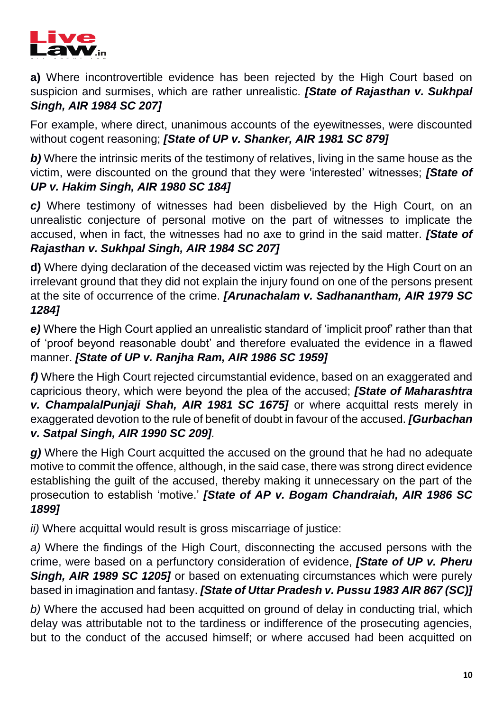

**a)** Where incontrovertible evidence has been rejected by the High Court based on suspicion and surmises, which are rather unrealistic. *[State of Rajasthan v. Sukhpal Singh, AIR 1984 SC 207]* 

For example, where direct, unanimous accounts of the eyewitnesses, were discounted without cogent reasoning; *[State of UP v. Shanker, AIR 1981 SC 879]* 

**b**) Where the intrinsic merits of the testimony of relatives, living in the same house as the victim, were discounted on the ground that they were 'interested' witnesses; *[State of UP v. Hakim Singh, AIR 1980 SC 184]* 

*c)* Where testimony of witnesses had been disbelieved by the High Court, on an unrealistic conjecture of personal motive on the part of witnesses to implicate the accused, when in fact, the witnesses had no axe to grind in the said matter. *[State of Rajasthan v. Sukhpal Singh, AIR 1984 SC 207]* 

**d)** Where dying declaration of the deceased victim was rejected by the High Court on an irrelevant ground that they did not explain the injury found on one of the persons present at the site of occurrence of the crime. *[Arunachalam v. Sadhanantham, AIR 1979 SC 1284]* 

*e)* Where the High Court applied an unrealistic standard of 'implicit proof' rather than that of 'proof beyond reasonable doubt' and therefore evaluated the evidence in a flawed manner. *[State of UP v. Ranjha Ram, AIR 1986 SC 1959]* 

*f)* Where the High Court rejected circumstantial evidence, based on an exaggerated and capricious theory, which were beyond the plea of the accused; *[State of Maharashtra v. ChampalalPunjaji Shah, AIR 1981 SC 1675]* or where acquittal rests merely in exaggerated devotion to the rule of benefit of doubt in favour of the accused. *[Gurbachan v. Satpal Singh, AIR 1990 SC 209].*

*g)* Where the High Court acquitted the accused on the ground that he had no adequate motive to commit the offence, although, in the said case, there was strong direct evidence establishing the guilt of the accused, thereby making it unnecessary on the part of the prosecution to establish 'motive.' *[State of AP v. Bogam Chandraiah, AIR 1986 SC 1899]* 

*ii)* Where acquittal would result is gross miscarriage of justice:

*a)* Where the findings of the High Court, disconnecting the accused persons with the crime, were based on a perfunctory consideration of evidence, *[State of UP v. Pheru Singh, AIR 1989 SC 1205]* or based on extenuating circumstances which were purely based in imagination and fantasy. *[State of Uttar Pradesh v. Pussu 1983 AIR 867 (SC)]* 

*b)* Where the accused had been acquitted on ground of delay in conducting trial, which delay was attributable not to the tardiness or indifference of the prosecuting agencies, but to the conduct of the accused himself; or where accused had been acquitted on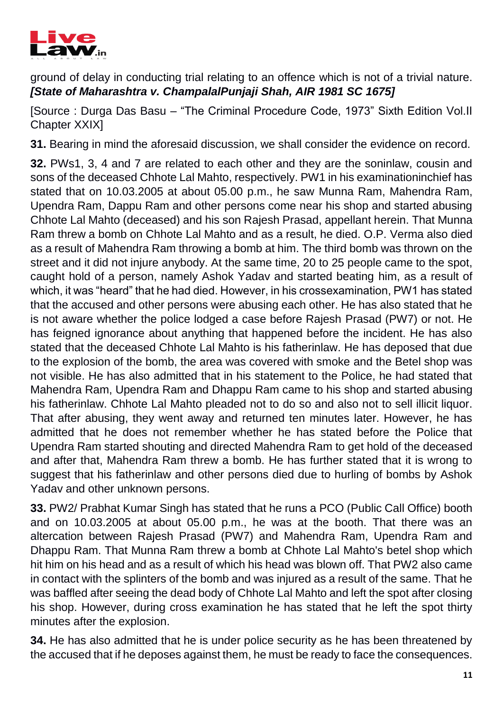

ground of delay in conducting trial relating to an offence which is not of a trivial nature. *[State of Maharashtra v. ChampalalPunjaji Shah, AIR 1981 SC 1675]* 

[Source : Durga Das Basu – "The Criminal Procedure Code, 1973" Sixth Edition Vol.II Chapter XXIX]

**31.** Bearing in mind the aforesaid discussion, we shall consider the evidence on record.

**32.** PWs1, 3, 4 and 7 are related to each other and they are the soninlaw, cousin and sons of the deceased Chhote Lal Mahto, respectively. PW1 in his examinationinchief has stated that on 10.03.2005 at about 05.00 p.m., he saw Munna Ram, Mahendra Ram, Upendra Ram, Dappu Ram and other persons come near his shop and started abusing Chhote Lal Mahto (deceased) and his son Rajesh Prasad, appellant herein. That Munna Ram threw a bomb on Chhote Lal Mahto and as a result, he died. O.P. Verma also died as a result of Mahendra Ram throwing a bomb at him. The third bomb was thrown on the street and it did not injure anybody. At the same time, 20 to 25 people came to the spot, caught hold of a person, namely Ashok Yadav and started beating him, as a result of which, it was "heard" that he had died. However, in his crossexamination, PW1 has stated that the accused and other persons were abusing each other. He has also stated that he is not aware whether the police lodged a case before Rajesh Prasad (PW7) or not. He has feigned ignorance about anything that happened before the incident. He has also stated that the deceased Chhote Lal Mahto is his fatherinlaw. He has deposed that due to the explosion of the bomb, the area was covered with smoke and the Betel shop was not visible. He has also admitted that in his statement to the Police, he had stated that Mahendra Ram, Upendra Ram and Dhappu Ram came to his shop and started abusing his fatherinlaw. Chhote Lal Mahto pleaded not to do so and also not to sell illicit liquor. That after abusing, they went away and returned ten minutes later. However, he has admitted that he does not remember whether he has stated before the Police that Upendra Ram started shouting and directed Mahendra Ram to get hold of the deceased and after that, Mahendra Ram threw a bomb. He has further stated that it is wrong to suggest that his fatherinlaw and other persons died due to hurling of bombs by Ashok Yadav and other unknown persons.

**33.** PW2/ Prabhat Kumar Singh has stated that he runs a PCO (Public Call Office) booth and on 10.03.2005 at about 05.00 p.m., he was at the booth. That there was an altercation between Rajesh Prasad (PW7) and Mahendra Ram, Upendra Ram and Dhappu Ram. That Munna Ram threw a bomb at Chhote Lal Mahto's betel shop which hit him on his head and as a result of which his head was blown off. That PW2 also came in contact with the splinters of the bomb and was injured as a result of the same. That he was baffled after seeing the dead body of Chhote Lal Mahto and left the spot after closing his shop. However, during cross examination he has stated that he left the spot thirty minutes after the explosion.

**34.** He has also admitted that he is under police security as he has been threatened by the accused that if he deposes against them, he must be ready to face the consequences.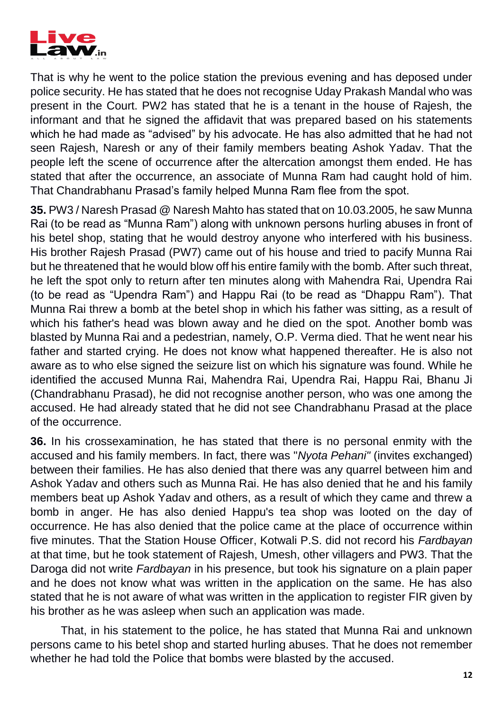

That is why he went to the police station the previous evening and has deposed under police security. He has stated that he does not recognise Uday Prakash Mandal who was present in the Court. PW2 has stated that he is a tenant in the house of Rajesh, the informant and that he signed the affidavit that was prepared based on his statements which he had made as "advised" by his advocate. He has also admitted that he had not seen Rajesh, Naresh or any of their family members beating Ashok Yadav. That the people left the scene of occurrence after the altercation amongst them ended. He has stated that after the occurrence, an associate of Munna Ram had caught hold of him. That Chandrabhanu Prasad's family helped Munna Ram flee from the spot.

**35.** PW3 / Naresh Prasad @ Naresh Mahto has stated that on 10.03.2005, he saw Munna Rai (to be read as "Munna Ram") along with unknown persons hurling abuses in front of his betel shop, stating that he would destroy anyone who interfered with his business. His brother Rajesh Prasad (PW7) came out of his house and tried to pacify Munna Rai but he threatened that he would blow off his entire family with the bomb. After such threat, he left the spot only to return after ten minutes along with Mahendra Rai, Upendra Rai (to be read as "Upendra Ram") and Happu Rai (to be read as "Dhappu Ram"). That Munna Rai threw a bomb at the betel shop in which his father was sitting, as a result of which his father's head was blown away and he died on the spot. Another bomb was blasted by Munna Rai and a pedestrian, namely, O.P. Verma died. That he went near his father and started crying. He does not know what happened thereafter. He is also not aware as to who else signed the seizure list on which his signature was found. While he identified the accused Munna Rai, Mahendra Rai, Upendra Rai, Happu Rai, Bhanu Ji (Chandrabhanu Prasad), he did not recognise another person, who was one among the accused. He had already stated that he did not see Chandrabhanu Prasad at the place of the occurrence.

**36.** In his crossexamination, he has stated that there is no personal enmity with the accused and his family members. In fact, there was "*Nyota Pehani"* (invites exchanged) between their families. He has also denied that there was any quarrel between him and Ashok Yadav and others such as Munna Rai. He has also denied that he and his family members beat up Ashok Yadav and others, as a result of which they came and threw a bomb in anger. He has also denied Happu's tea shop was looted on the day of occurrence. He has also denied that the police came at the place of occurrence within five minutes. That the Station House Officer, Kotwali P.S. did not record his *Fardbayan*  at that time, but he took statement of Rajesh, Umesh, other villagers and PW3. That the Daroga did not write *Fardbayan* in his presence, but took his signature on a plain paper and he does not know what was written in the application on the same. He has also stated that he is not aware of what was written in the application to register FIR given by his brother as he was asleep when such an application was made.

That, in his statement to the police, he has stated that Munna Rai and unknown persons came to his betel shop and started hurling abuses. That he does not remember whether he had told the Police that bombs were blasted by the accused.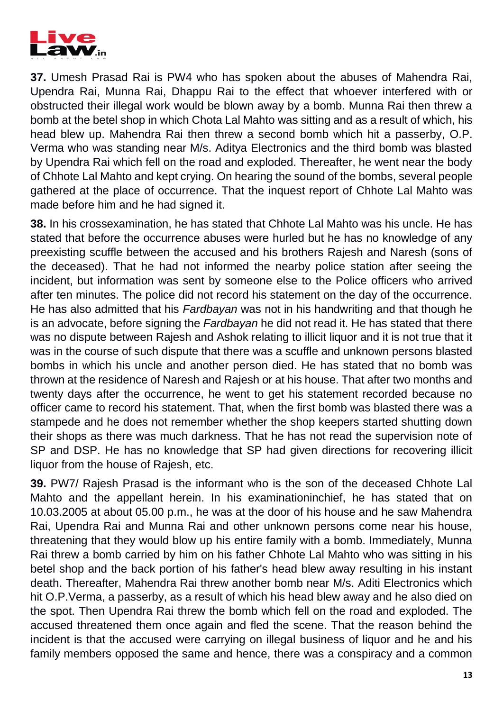

**37.** Umesh Prasad Rai is PW4 who has spoken about the abuses of Mahendra Rai, Upendra Rai, Munna Rai, Dhappu Rai to the effect that whoever interfered with or obstructed their illegal work would be blown away by a bomb. Munna Rai then threw a bomb at the betel shop in which Chota Lal Mahto was sitting and as a result of which, his head blew up. Mahendra Rai then threw a second bomb which hit a passerby, O.P. Verma who was standing near M/s. Aditya Electronics and the third bomb was blasted by Upendra Rai which fell on the road and exploded. Thereafter, he went near the body of Chhote Lal Mahto and kept crying. On hearing the sound of the bombs, several people gathered at the place of occurrence. That the inquest report of Chhote Lal Mahto was made before him and he had signed it.

**38.** In his crossexamination, he has stated that Chhote Lal Mahto was his uncle. He has stated that before the occurrence abuses were hurled but he has no knowledge of any preexisting scuffle between the accused and his brothers Rajesh and Naresh (sons of the deceased). That he had not informed the nearby police station after seeing the incident, but information was sent by someone else to the Police officers who arrived after ten minutes. The police did not record his statement on the day of the occurrence. He has also admitted that his *Fardbayan* was not in his handwriting and that though he is an advocate, before signing the *Fardbayan* he did not read it. He has stated that there was no dispute between Rajesh and Ashok relating to illicit liquor and it is not true that it was in the course of such dispute that there was a scuffle and unknown persons blasted bombs in which his uncle and another person died. He has stated that no bomb was thrown at the residence of Naresh and Rajesh or at his house. That after two months and twenty days after the occurrence, he went to get his statement recorded because no officer came to record his statement. That, when the first bomb was blasted there was a stampede and he does not remember whether the shop keepers started shutting down their shops as there was much darkness. That he has not read the supervision note of SP and DSP. He has no knowledge that SP had given directions for recovering illicit liquor from the house of Rajesh, etc.

**39.** PW7/ Rajesh Prasad is the informant who is the son of the deceased Chhote Lal Mahto and the appellant herein. In his examinationinchief, he has stated that on 10.03.2005 at about 05.00 p.m., he was at the door of his house and he saw Mahendra Rai, Upendra Rai and Munna Rai and other unknown persons come near his house, threatening that they would blow up his entire family with a bomb. Immediately, Munna Rai threw a bomb carried by him on his father Chhote Lal Mahto who was sitting in his betel shop and the back portion of his father's head blew away resulting in his instant death. Thereafter, Mahendra Rai threw another bomb near M/s. Aditi Electronics which hit O.P.Verma, a passerby, as a result of which his head blew away and he also died on the spot. Then Upendra Rai threw the bomb which fell on the road and exploded. The accused threatened them once again and fled the scene. That the reason behind the incident is that the accused were carrying on illegal business of liquor and he and his family members opposed the same and hence, there was a conspiracy and a common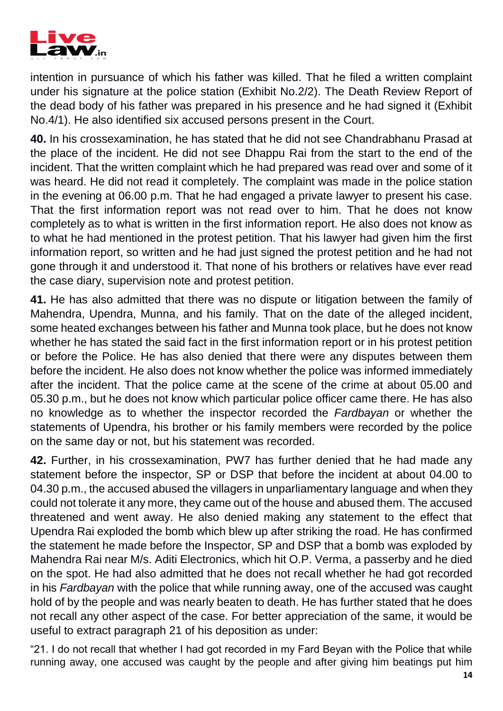

intention in pursuance of which his father was killed. That he filed a written complaint under his signature at the police station (Exhibit No.2/2). The Death Review Report of the dead body of his father was prepared in his presence and he had signed it (Exhibit No.4/1). He also identified six accused persons present in the Court.

**40.** In his crossexamination, he has stated that he did not see Chandrabhanu Prasad at the place of the incident. He did not see Dhappu Rai from the start to the end of the incident. That the written complaint which he had prepared was read over and some of it was heard. He did not read it completely. The complaint was made in the police station in the evening at 06.00 p.m. That he had engaged a private lawyer to present his case. That the first information report was not read over to him. That he does not know completely as to what is written in the first information report. He also does not know as to what he had mentioned in the protest petition. That his lawyer had given him the first information report, so written and he had just signed the protest petition and he had not gone through it and understood it. That none of his brothers or relatives have ever read the case diary, supervision note and protest petition.

**41.** He has also admitted that there was no dispute or litigation between the family of Mahendra, Upendra, Munna, and his family. That on the date of the alleged incident, some heated exchanges between his father and Munna took place, but he does not know whether he has stated the said fact in the first information report or in his protest petition or before the Police. He has also denied that there were any disputes between them before the incident. He also does not know whether the police was informed immediately after the incident. That the police came at the scene of the crime at about 05.00 and 05.30 p.m., but he does not know which particular police officer came there. He has also no knowledge as to whether the inspector recorded the *Fardbayan* or whether the statements of Upendra, his brother or his family members were recorded by the police on the same day or not, but his statement was recorded.

**42.** Further, in his crossexamination, PW7 has further denied that he had made any statement before the inspector, SP or DSP that before the incident at about 04.00 to 04.30 p.m., the accused abused the villagers in unparliamentary language and when they could not tolerate it any more, they came out of the house and abused them. The accused threatened and went away. He also denied making any statement to the effect that Upendra Rai exploded the bomb which blew up after striking the road. He has confirmed the statement he made before the Inspector, SP and DSP that a bomb was exploded by Mahendra Rai near M/s. Aditi Electronics, which hit O.P. Verma, a passerby and he died on the spot. He had also admitted that he does not recall whether he had got recorded in his *Fardbayan* with the police that while running away, one of the accused was caught hold of by the people and was nearly beaten to death. He has further stated that he does not recall any other aspect of the case. For better appreciation of the same, it would be useful to extract paragraph 21 of his deposition as under:

"21. I do not recall that whether I had got recorded in my Fard Beyan with the Police that while running away, one accused was caught by the people and after giving him beatings put him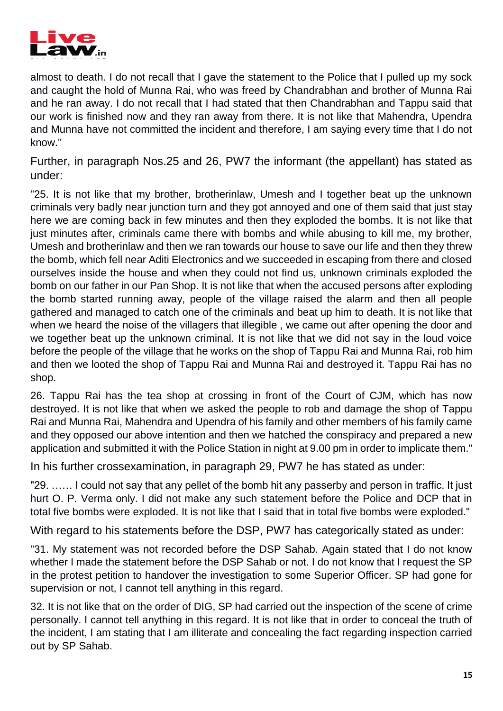

almost to death. I do not recall that I gave the statement to the Police that I pulled up my sock and caught the hold of Munna Rai, who was freed by Chandrabhan and brother of Munna Rai and he ran away. I do not recall that I had stated that then Chandrabhan and Tappu said that our work is finished now and they ran away from there. It is not like that Mahendra, Upendra and Munna have not committed the incident and therefore, I am saying every time that I do not know."

Further, in paragraph Nos.25 and 26, PW7 the informant (the appellant) has stated as under:

"25. It is not like that my brother, brotherinlaw, Umesh and I together beat up the unknown criminals very badly near junction turn and they got annoyed and one of them said that just stay here we are coming back in few minutes and then they exploded the bombs. It is not like that just minutes after, criminals came there with bombs and while abusing to kill me, my brother, Umesh and brotherinlaw and then we ran towards our house to save our life and then they threw the bomb, which fell near Aditi Electronics and we succeeded in escaping from there and closed ourselves inside the house and when they could not find us, unknown criminals exploded the bomb on our father in our Pan Shop. It is not like that when the accused persons after exploding the bomb started running away, people of the village raised the alarm and then all people gathered and managed to catch one of the criminals and beat up him to death. It is not like that when we heard the noise of the villagers that illegible , we came out after opening the door and we together beat up the unknown criminal. It is not like that we did not say in the loud voice before the people of the village that he works on the shop of Tappu Rai and Munna Rai, rob him and then we looted the shop of Tappu Rai and Munna Rai and destroyed it. Tappu Rai has no shop.

26. Tappu Rai has the tea shop at crossing in front of the Court of CJM, which has now destroyed. It is not like that when we asked the people to rob and damage the shop of Tappu Rai and Munna Rai, Mahendra and Upendra of his family and other members of his family came and they opposed our above intention and then we hatched the conspiracy and prepared a new application and submitted it with the Police Station in night at 9.00 pm in order to implicate them."

In his further crossexamination, in paragraph 29, PW7 he has stated as under:

"29. …… I could not say that any pellet of the bomb hit any passerby and person in traffic. It just hurt O. P. Verma only. I did not make any such statement before the Police and DCP that in total five bombs were exploded. It is not like that I said that in total five bombs were exploded."

With regard to his statements before the DSP, PW7 has categorically stated as under:

"31. My statement was not recorded before the DSP Sahab. Again stated that I do not know whether I made the statement before the DSP Sahab or not. I do not know that I request the SP in the protest petition to handover the investigation to some Superior Officer. SP had gone for supervision or not, I cannot tell anything in this regard.

32. It is not like that on the order of DIG, SP had carried out the inspection of the scene of crime personally. I cannot tell anything in this regard. It is not like that in order to conceal the truth of the incident, I am stating that I am illiterate and concealing the fact regarding inspection carried out by SP Sahab.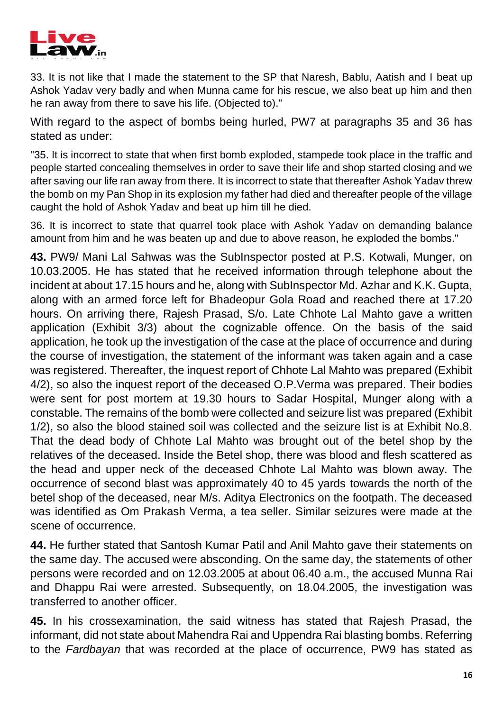

33. It is not like that I made the statement to the SP that Naresh, Bablu, Aatish and I beat up Ashok Yadav very badly and when Munna came for his rescue, we also beat up him and then he ran away from there to save his life. (Objected to)."

With regard to the aspect of bombs being hurled, PW7 at paragraphs 35 and 36 has stated as under:

"35. It is incorrect to state that when first bomb exploded, stampede took place in the traffic and people started concealing themselves in order to save their life and shop started closing and we after saving our life ran away from there. It is incorrect to state that thereafter Ashok Yadav threw the bomb on my Pan Shop in its explosion my father had died and thereafter people of the village caught the hold of Ashok Yadav and beat up him till he died.

36. It is incorrect to state that quarrel took place with Ashok Yadav on demanding balance amount from him and he was beaten up and due to above reason, he exploded the bombs."

**43.** PW9/ Mani Lal Sahwas was the SubInspector posted at P.S. Kotwali, Munger, on 10.03.2005. He has stated that he received information through telephone about the incident at about 17.15 hours and he, along with SubInspector Md. Azhar and K.K. Gupta, along with an armed force left for Bhadeopur Gola Road and reached there at 17.20 hours. On arriving there, Rajesh Prasad, S/o. Late Chhote Lal Mahto gave a written application (Exhibit 3/3) about the cognizable offence. On the basis of the said application, he took up the investigation of the case at the place of occurrence and during the course of investigation, the statement of the informant was taken again and a case was registered. Thereafter, the inquest report of Chhote Lal Mahto was prepared (Exhibit 4/2), so also the inquest report of the deceased O.P.Verma was prepared. Their bodies were sent for post mortem at 19.30 hours to Sadar Hospital, Munger along with a constable. The remains of the bomb were collected and seizure list was prepared (Exhibit 1/2), so also the blood stained soil was collected and the seizure list is at Exhibit No.8. That the dead body of Chhote Lal Mahto was brought out of the betel shop by the relatives of the deceased. Inside the Betel shop, there was blood and flesh scattered as the head and upper neck of the deceased Chhote Lal Mahto was blown away. The occurrence of second blast was approximately 40 to 45 yards towards the north of the betel shop of the deceased, near M/s. Aditya Electronics on the footpath. The deceased was identified as Om Prakash Verma, a tea seller. Similar seizures were made at the scene of occurrence.

**44.** He further stated that Santosh Kumar Patil and Anil Mahto gave their statements on the same day. The accused were absconding. On the same day, the statements of other persons were recorded and on 12.03.2005 at about 06.40 a.m., the accused Munna Rai and Dhappu Rai were arrested. Subsequently, on 18.04.2005, the investigation was transferred to another officer.

**45.** In his crossexamination, the said witness has stated that Rajesh Prasad, the informant, did not state about Mahendra Rai and Uppendra Rai blasting bombs. Referring to the *Fardbayan* that was recorded at the place of occurrence, PW9 has stated as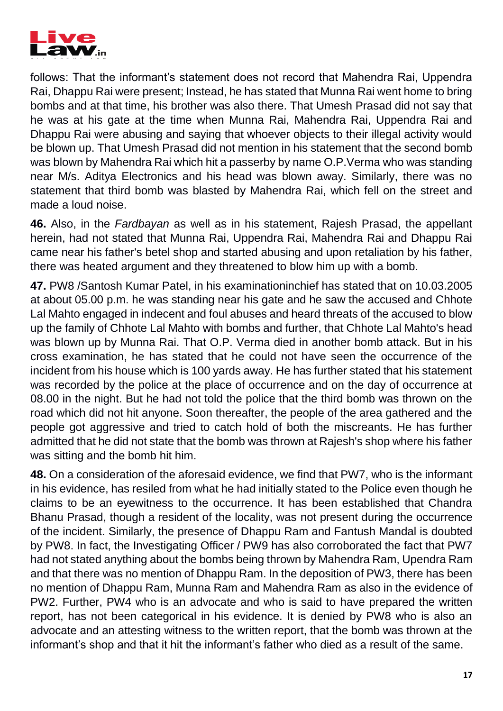

follows: That the informant's statement does not record that Mahendra Rai, Uppendra Rai, Dhappu Rai were present; Instead, he has stated that Munna Rai went home to bring bombs and at that time, his brother was also there. That Umesh Prasad did not say that he was at his gate at the time when Munna Rai, Mahendra Rai, Uppendra Rai and Dhappu Rai were abusing and saying that whoever objects to their illegal activity would be blown up. That Umesh Prasad did not mention in his statement that the second bomb was blown by Mahendra Rai which hit a passerby by name O.P.Verma who was standing near M/s. Aditya Electronics and his head was blown away. Similarly, there was no statement that third bomb was blasted by Mahendra Rai, which fell on the street and made a loud noise.

**46.** Also, in the *Fardbayan* as well as in his statement, Rajesh Prasad, the appellant herein, had not stated that Munna Rai, Uppendra Rai, Mahendra Rai and Dhappu Rai came near his father's betel shop and started abusing and upon retaliation by his father, there was heated argument and they threatened to blow him up with a bomb.

**47.** PW8 /Santosh Kumar Patel, in his examinationinchief has stated that on 10.03.2005 at about 05.00 p.m. he was standing near his gate and he saw the accused and Chhote Lal Mahto engaged in indecent and foul abuses and heard threats of the accused to blow up the family of Chhote Lal Mahto with bombs and further, that Chhote Lal Mahto's head was blown up by Munna Rai. That O.P. Verma died in another bomb attack. But in his cross examination, he has stated that he could not have seen the occurrence of the incident from his house which is 100 yards away. He has further stated that his statement was recorded by the police at the place of occurrence and on the day of occurrence at 08.00 in the night. But he had not told the police that the third bomb was thrown on the road which did not hit anyone. Soon thereafter, the people of the area gathered and the people got aggressive and tried to catch hold of both the miscreants. He has further admitted that he did not state that the bomb was thrown at Rajesh's shop where his father was sitting and the bomb hit him.

**48.** On a consideration of the aforesaid evidence, we find that PW7, who is the informant in his evidence, has resiled from what he had initially stated to the Police even though he claims to be an eyewitness to the occurrence. It has been established that Chandra Bhanu Prasad, though a resident of the locality, was not present during the occurrence of the incident. Similarly, the presence of Dhappu Ram and Fantush Mandal is doubted by PW8. In fact, the Investigating Officer / PW9 has also corroborated the fact that PW7 had not stated anything about the bombs being thrown by Mahendra Ram, Upendra Ram and that there was no mention of Dhappu Ram. In the deposition of PW3, there has been no mention of Dhappu Ram, Munna Ram and Mahendra Ram as also in the evidence of PW2. Further, PW4 who is an advocate and who is said to have prepared the written report, has not been categorical in his evidence. It is denied by PW8 who is also an advocate and an attesting witness to the written report, that the bomb was thrown at the informant's shop and that it hit the informant's father who died as a result of the same.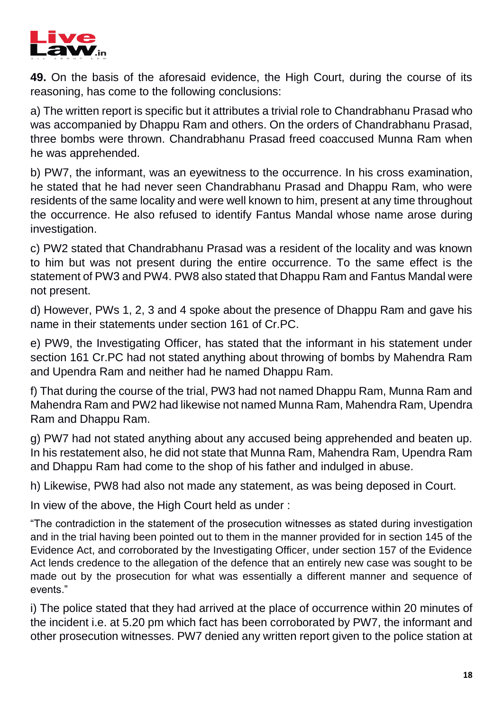

**49.** On the basis of the aforesaid evidence, the High Court, during the course of its reasoning, has come to the following conclusions:

a) The written report is specific but it attributes a trivial role to Chandrabhanu Prasad who was accompanied by Dhappu Ram and others. On the orders of Chandrabhanu Prasad, three bombs were thrown. Chandrabhanu Prasad freed coaccused Munna Ram when he was apprehended.

b) PW7, the informant, was an eyewitness to the occurrence. In his cross examination, he stated that he had never seen Chandrabhanu Prasad and Dhappu Ram, who were residents of the same locality and were well known to him, present at any time throughout the occurrence. He also refused to identify Fantus Mandal whose name arose during investigation.

c) PW2 stated that Chandrabhanu Prasad was a resident of the locality and was known to him but was not present during the entire occurrence. To the same effect is the statement of PW3 and PW4. PW8 also stated that Dhappu Ram and Fantus Mandal were not present.

d) However, PWs 1, 2, 3 and 4 spoke about the presence of Dhappu Ram and gave his name in their statements under section 161 of Cr.PC.

e) PW9, the Investigating Officer, has stated that the informant in his statement under section 161 Cr.PC had not stated anything about throwing of bombs by Mahendra Ram and Upendra Ram and neither had he named Dhappu Ram.

f) That during the course of the trial, PW3 had not named Dhappu Ram, Munna Ram and Mahendra Ram and PW2 had likewise not named Munna Ram, Mahendra Ram, Upendra Ram and Dhappu Ram.

g) PW7 had not stated anything about any accused being apprehended and beaten up. In his restatement also, he did not state that Munna Ram, Mahendra Ram, Upendra Ram and Dhappu Ram had come to the shop of his father and indulged in abuse.

h) Likewise, PW8 had also not made any statement, as was being deposed in Court.

In view of the above, the High Court held as under :

"The contradiction in the statement of the prosecution witnesses as stated during investigation and in the trial having been pointed out to them in the manner provided for in section 145 of the Evidence Act, and corroborated by the Investigating Officer, under section 157 of the Evidence Act lends credence to the allegation of the defence that an entirely new case was sought to be made out by the prosecution for what was essentially a different manner and sequence of events."

i) The police stated that they had arrived at the place of occurrence within 20 minutes of the incident i.e. at 5.20 pm which fact has been corroborated by PW7, the informant and other prosecution witnesses. PW7 denied any written report given to the police station at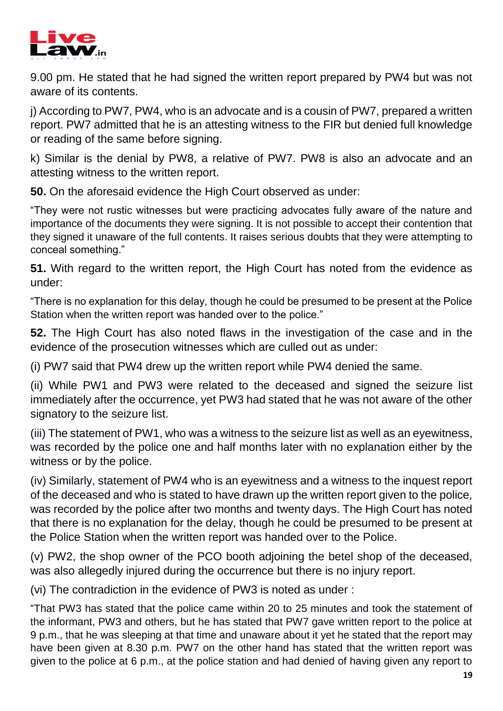

9.00 pm. He stated that he had signed the written report prepared by PW4 but was not aware of its contents.

i) According to PW7. PW4, who is an advocate and is a cousin of PW7, prepared a written report. PW7 admitted that he is an attesting witness to the FIR but denied full knowledge or reading of the same before signing.

k) Similar is the denial by PW8, a relative of PW7. PW8 is also an advocate and an attesting witness to the written report.

**50.** On the aforesaid evidence the High Court observed as under:

"They were not rustic witnesses but were practicing advocates fully aware of the nature and importance of the documents they were signing. It is not possible to accept their contention that they signed it unaware of the full contents. It raises serious doubts that they were attempting to conceal something."

**51.** With regard to the written report, the High Court has noted from the evidence as under:

"There is no explanation for this delay, though he could be presumed to be present at the Police Station when the written report was handed over to the police."

**52.** The High Court has also noted flaws in the investigation of the case and in the evidence of the prosecution witnesses which are culled out as under:

(i) PW7 said that PW4 drew up the written report while PW4 denied the same.

(ii) While PW1 and PW3 were related to the deceased and signed the seizure list immediately after the occurrence, yet PW3 had stated that he was not aware of the other signatory to the seizure list.

(iii) The statement of PW1, who was a witness to the seizure list as well as an eyewitness, was recorded by the police one and half months later with no explanation either by the witness or by the police.

(iv) Similarly, statement of PW4 who is an eyewitness and a witness to the inquest report of the deceased and who is stated to have drawn up the written report given to the police, was recorded by the police after two months and twenty days. The High Court has noted that there is no explanation for the delay, though he could be presumed to be present at the Police Station when the written report was handed over to the Police.

(v) PW2, the shop owner of the PCO booth adjoining the betel shop of the deceased, was also allegedly injured during the occurrence but there is no injury report.

(vi) The contradiction in the evidence of PW3 is noted as under :

"That PW3 has stated that the police came within 20 to 25 minutes and took the statement of the informant, PW3 and others, but he has stated that PW7 gave written report to the police at 9 p.m., that he was sleeping at that time and unaware about it yet he stated that the report may have been given at 8.30 p.m. PW7 on the other hand has stated that the written report was given to the police at 6 p.m., at the police station and had denied of having given any report to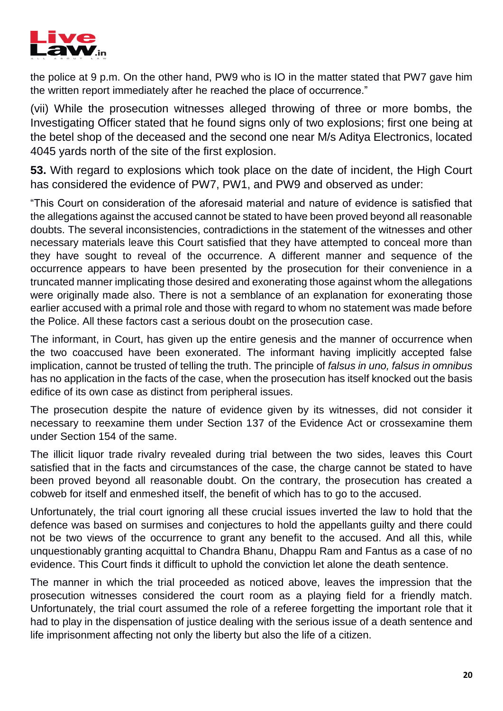

the police at 9 p.m. On the other hand, PW9 who is IO in the matter stated that PW7 gave him the written report immediately after he reached the place of occurrence."

(vii) While the prosecution witnesses alleged throwing of three or more bombs, the Investigating Officer stated that he found signs only of two explosions; first one being at the betel shop of the deceased and the second one near M/s Aditya Electronics, located 4045 yards north of the site of the first explosion.

**53.** With regard to explosions which took place on the date of incident, the High Court has considered the evidence of PW7, PW1, and PW9 and observed as under:

"This Court on consideration of the aforesaid material and nature of evidence is satisfied that the allegations against the accused cannot be stated to have been proved beyond all reasonable doubts. The several inconsistencies, contradictions in the statement of the witnesses and other necessary materials leave this Court satisfied that they have attempted to conceal more than they have sought to reveal of the occurrence. A different manner and sequence of the occurrence appears to have been presented by the prosecution for their convenience in a truncated manner implicating those desired and exonerating those against whom the allegations were originally made also. There is not a semblance of an explanation for exonerating those earlier accused with a primal role and those with regard to whom no statement was made before the Police. All these factors cast a serious doubt on the prosecution case.

The informant, in Court, has given up the entire genesis and the manner of occurrence when the two coaccused have been exonerated. The informant having implicitly accepted false implication, cannot be trusted of telling the truth. The principle of *falsus in uno, falsus in omnibus*  has no application in the facts of the case, when the prosecution has itself knocked out the basis edifice of its own case as distinct from peripheral issues.

The prosecution despite the nature of evidence given by its witnesses, did not consider it necessary to reexamine them under Section 137 of the Evidence Act or crossexamine them under Section 154 of the same.

The illicit liquor trade rivalry revealed during trial between the two sides, leaves this Court satisfied that in the facts and circumstances of the case, the charge cannot be stated to have been proved beyond all reasonable doubt. On the contrary, the prosecution has created a cobweb for itself and enmeshed itself, the benefit of which has to go to the accused.

Unfortunately, the trial court ignoring all these crucial issues inverted the law to hold that the defence was based on surmises and conjectures to hold the appellants guilty and there could not be two views of the occurrence to grant any benefit to the accused. And all this, while unquestionably granting acquittal to Chandra Bhanu, Dhappu Ram and Fantus as a case of no evidence. This Court finds it difficult to uphold the conviction let alone the death sentence.

The manner in which the trial proceeded as noticed above, leaves the impression that the prosecution witnesses considered the court room as a playing field for a friendly match. Unfortunately, the trial court assumed the role of a referee forgetting the important role that it had to play in the dispensation of justice dealing with the serious issue of a death sentence and life imprisonment affecting not only the liberty but also the life of a citizen.